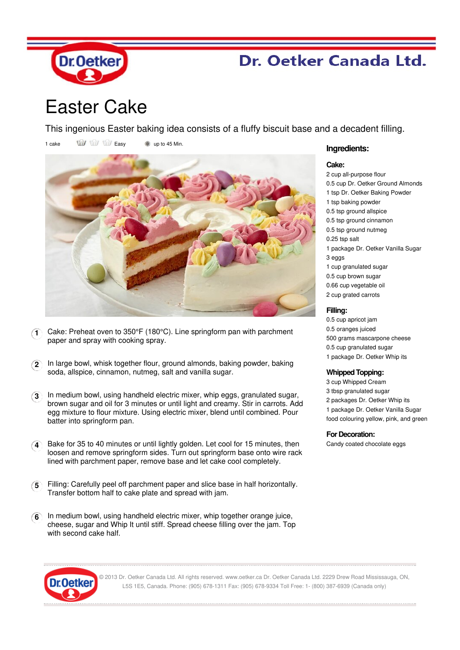

## Dr. Oetker Canada Ltd.

# Easter Cake

This ingenious Easter baking idea consists of a fluffy biscuit base and a decadent filling.

1 cake  $\overrightarrow{u}$   $\overrightarrow{u}$  Easy  $\overrightarrow{v}$  up to 45 Min.



- **1** Cake: Preheat oven to 350°F (180°C). Line springform pan with parchment paper and spray with cooking spray.
- **2** In large bowl, whisk together flour, ground almonds, baking powder, baking soda, allspice, cinnamon, nutmeg, salt and vanilla sugar.
- **3** In medium bowl, using handheld electric mixer, whip eggs, granulated sugar, brown sugar and oil for 3 minutes or until light and creamy. Stir in carrots. Add egg mixture to flour mixture. Using electric mixer, blend until combined. Pour batter into springform pan.
- **4** Bake for 35 to 40 minutes or until lightly golden. Let cool for 15 minutes, then loosen and remove springform sides. Turn out springform base onto wire rack lined with parchment paper, remove base and let cake cool completely.
- **5** Filling: Carefully peel off parchment paper and slice base in half horizontally. Transfer bottom half to cake plate and spread with jam.
- **6** In medium bowl, using handheld electric mixer, whip together orange juice, cheese, sugar and Whip It until stiff. Spread cheese filling over the jam. Top with second cake half.

### **Ingredients:**

#### **Cake:**

2 cup all-purpose flour 0.5 cup Dr. Oetker Ground Almonds 1 tsp Dr. Oetker Baking Powder 1 tsp baking powder 0.5 tsp ground allspice 0.5 tsp ground cinnamon 0.5 tsp ground nutmeg 0.25 tsp salt 1 package Dr. Oetker Vanilla Sugar 3 eggs 1 cup granulated sugar 0.5 cup brown sugar 0.66 cup vegetable oil 2 cup grated carrots

#### **Filling:**

0.5 cup apricot jam 0.5 oranges juiced 500 grams mascarpone cheese 0.5 cup granulated sugar 1 package Dr. Oetker Whip its

#### **Whipped Topping:**

 cup Whipped Cream tbsp granulated sugar packages Dr. Oetker Whip its package Dr. Oetker Vanilla Sugar food colouring yellow, pink, and green

#### **For Decoration:**

Candy coated chocolate eggs



© 2013 Dr. Oetker Canada Ltd. All rights reserved. www.oetker.ca Dr. Oetker Canada Ltd. 2229 Drew Road Mississauga, ON L5S 1E5, Canada. Phone: (905) 678-1311 Fax: (905) 678-9334 Toll Free: 1- (800) 387-6939 (Canada only)